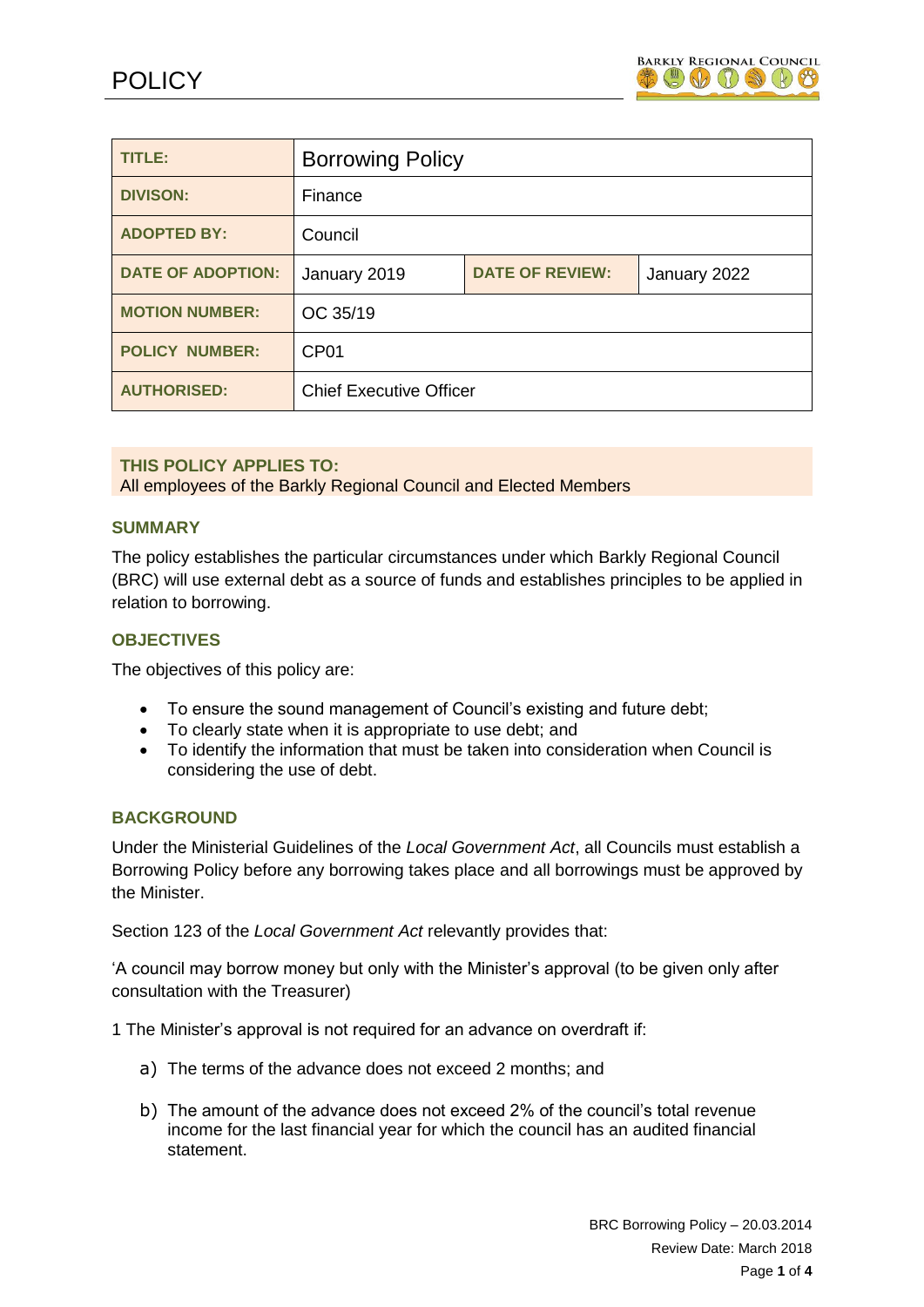

| TITLE:                   | <b>Borrowing Policy</b>        |                        |              |
|--------------------------|--------------------------------|------------------------|--------------|
| <b>DIVISON:</b>          | Finance                        |                        |              |
| <b>ADOPTED BY:</b>       | Council                        |                        |              |
| <b>DATE OF ADOPTION:</b> | January 2019                   | <b>DATE OF REVIEW:</b> | January 2022 |
| <b>MOTION NUMBER:</b>    | OC 35/19                       |                        |              |
| <b>POLICY NUMBER:</b>    | CP <sub>01</sub>               |                        |              |
| <b>AUTHORISED:</b>       | <b>Chief Executive Officer</b> |                        |              |

# **THIS POLICY APPLIES TO:**

All employees of the Barkly Regional Council and Elected Members

#### **SUMMARY**

The policy establishes the particular circumstances under which Barkly Regional Council (BRC) will use external debt as a source of funds and establishes principles to be applied in relation to borrowing.

# **OBJECTIVES**

The objectives of this policy are:

- To ensure the sound management of Council's existing and future debt;
- To clearly state when it is appropriate to use debt; and
- To identify the information that must be taken into consideration when Council is considering the use of debt.

#### **BACKGROUND**

Under the Ministerial Guidelines of the *Local Government Act*, all Councils must establish a Borrowing Policy before any borrowing takes place and all borrowings must be approved by the Minister.

Section 123 of the *Local Government Act* relevantly provides that:

'A council may borrow money but only with the Minister's approval (to be given only after consultation with the Treasurer)

1 The Minister's approval is not required for an advance on overdraft if:

- a) The terms of the advance does not exceed 2 months; and
- b) The amount of the advance does not exceed 2% of the council's total revenue income for the last financial year for which the council has an audited financial statement.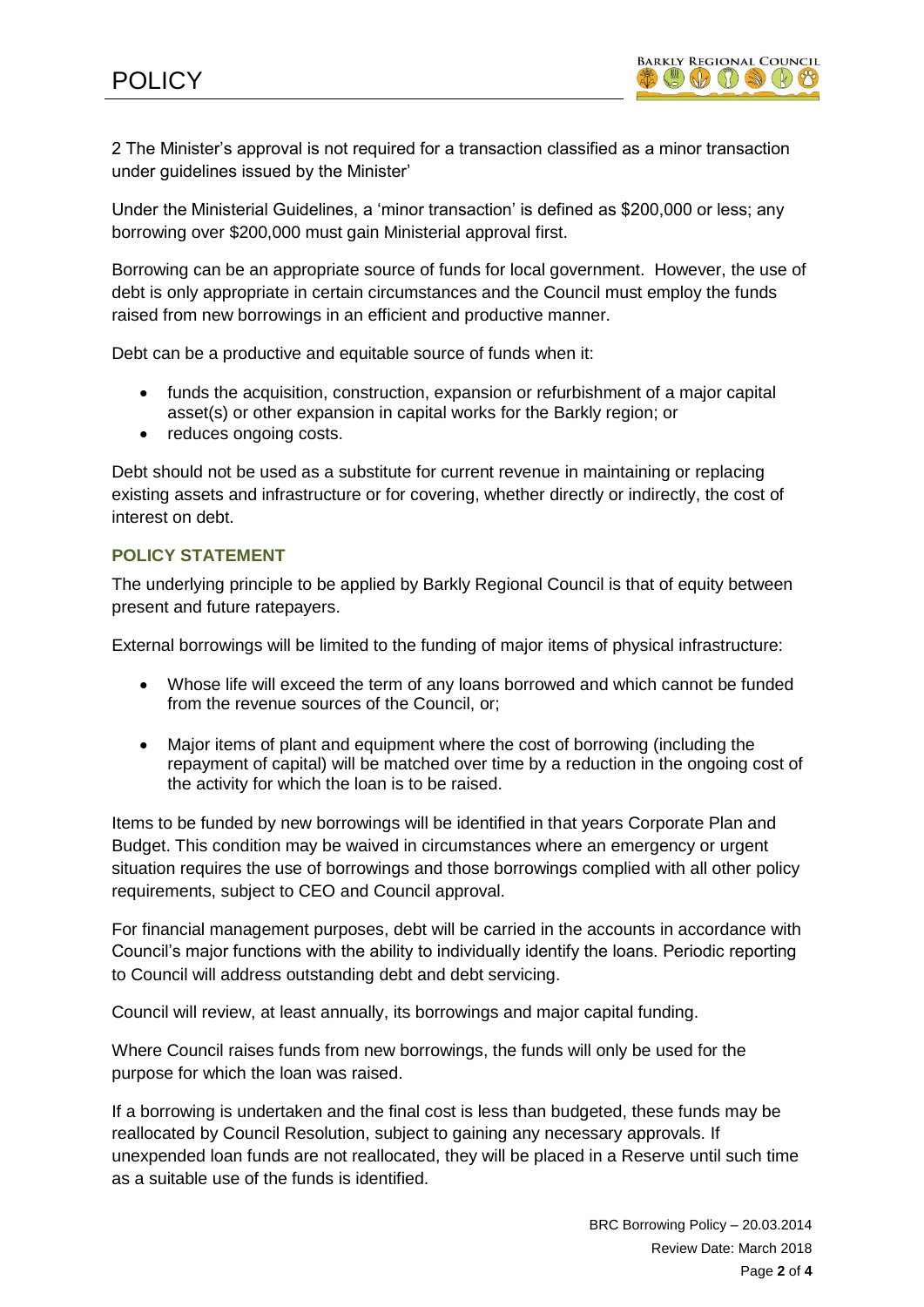2 The Minister's approval is not required for a transaction classified as a minor transaction under guidelines issued by the Minister'

Under the Ministerial Guidelines, a 'minor transaction' is defined as \$200,000 or less; any borrowing over \$200,000 must gain Ministerial approval first.

Borrowing can be an appropriate source of funds for local government. However, the use of debt is only appropriate in certain circumstances and the Council must employ the funds raised from new borrowings in an efficient and productive manner.

Debt can be a productive and equitable source of funds when it:

- funds the acquisition, construction, expansion or refurbishment of a major capital asset(s) or other expansion in capital works for the Barkly region; or
- reduces ongoing costs.

Debt should not be used as a substitute for current revenue in maintaining or replacing existing assets and infrastructure or for covering, whether directly or indirectly, the cost of interest on debt.

# **POLICY STATEMENT**

The underlying principle to be applied by Barkly Regional Council is that of equity between present and future ratepayers.

External borrowings will be limited to the funding of major items of physical infrastructure:

- Whose life will exceed the term of any loans borrowed and which cannot be funded from the revenue sources of the Council, or;
- Major items of plant and equipment where the cost of borrowing (including the repayment of capital) will be matched over time by a reduction in the ongoing cost of the activity for which the loan is to be raised.

Items to be funded by new borrowings will be identified in that years Corporate Plan and Budget. This condition may be waived in circumstances where an emergency or urgent situation requires the use of borrowings and those borrowings complied with all other policy requirements, subject to CEO and Council approval.

For financial management purposes, debt will be carried in the accounts in accordance with Council's major functions with the ability to individually identify the loans. Periodic reporting to Council will address outstanding debt and debt servicing.

Council will review, at least annually, its borrowings and major capital funding.

Where Council raises funds from new borrowings, the funds will only be used for the purpose for which the loan was raised.

If a borrowing is undertaken and the final cost is less than budgeted, these funds may be reallocated by Council Resolution, subject to gaining any necessary approvals. If unexpended loan funds are not reallocated, they will be placed in a Reserve until such time as a suitable use of the funds is identified.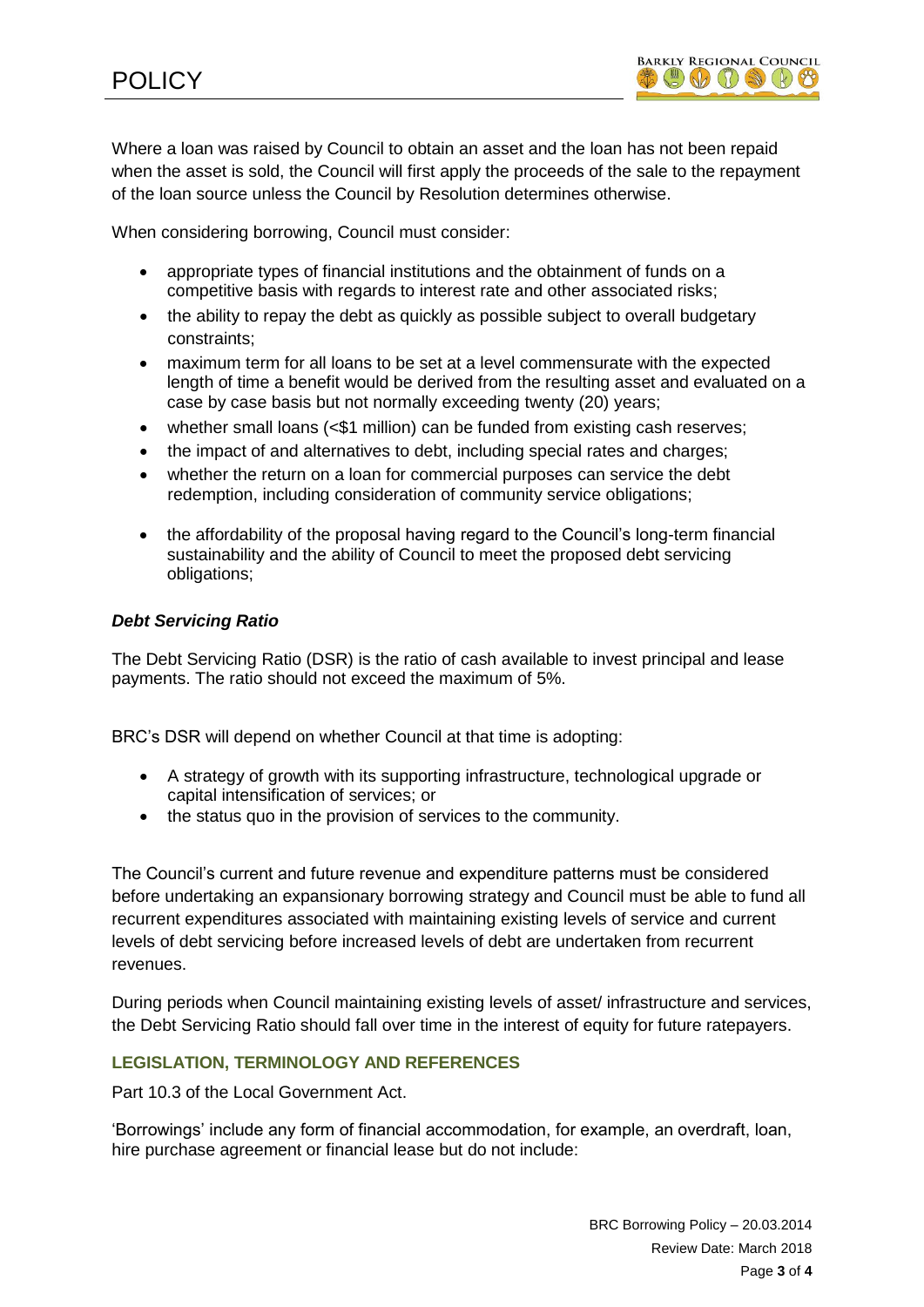

Where a loan was raised by Council to obtain an asset and the loan has not been repaid when the asset is sold, the Council will first apply the proceeds of the sale to the repayment of the loan source unless the Council by Resolution determines otherwise.

When considering borrowing, Council must consider:

- appropriate types of financial institutions and the obtainment of funds on a competitive basis with regards to interest rate and other associated risks;
- the ability to repay the debt as quickly as possible subject to overall budgetary constraints;
- maximum term for all loans to be set at a level commensurate with the expected length of time a benefit would be derived from the resulting asset and evaluated on a case by case basis but not normally exceeding twenty (20) years;
- whether small loans (<\$1 million) can be funded from existing cash reserves;
- the impact of and alternatives to debt, including special rates and charges;
- whether the return on a loan for commercial purposes can service the debt redemption, including consideration of community service obligations;
- the affordability of the proposal having regard to the Council's long-term financial sustainability and the ability of Council to meet the proposed debt servicing obligations;

### *Debt Servicing Ratio*

The Debt Servicing Ratio (DSR) is the ratio of cash available to invest principal and lease payments. The ratio should not exceed the maximum of 5%.

BRC's DSR will depend on whether Council at that time is adopting:

- A strategy of growth with its supporting infrastructure, technological upgrade or capital intensification of services; or
- the status quo in the provision of services to the community.

The Council's current and future revenue and expenditure patterns must be considered before undertaking an expansionary borrowing strategy and Council must be able to fund all recurrent expenditures associated with maintaining existing levels of service and current levels of debt servicing before increased levels of debt are undertaken from recurrent revenues.

During periods when Council maintaining existing levels of asset/ infrastructure and services, the Debt Servicing Ratio should fall over time in the interest of equity for future ratepayers.

# **LEGISLATION, TERMINOLOGY AND REFERENCES**

Part 10.3 of the Local Government Act.

'Borrowings' include any form of financial accommodation, for example, an overdraft, loan, hire purchase agreement or financial lease but do not include: